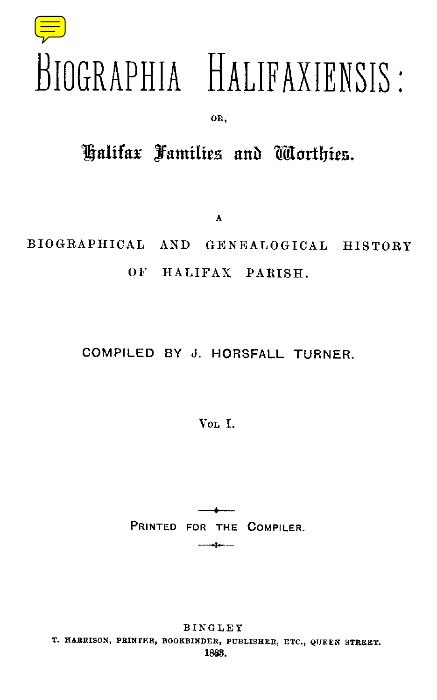# BIOGRAPHIA HALIFAXIENSIS :

OR ,

## Halifax Families and Worthies

**A**

BIOGRAPHICAL AND GENEALOGICAL HISTORY OF HALIFAX PARISH.

### COMPILED BY J. HORSFALL TURNER.

VOL I.

PRINTED FOR THE COMPILER.

**BINGLEY** T. HARRISON, PRINTER, BOOKBINDER, PUBLISHER, ETC., QUEEN STREET. 1888.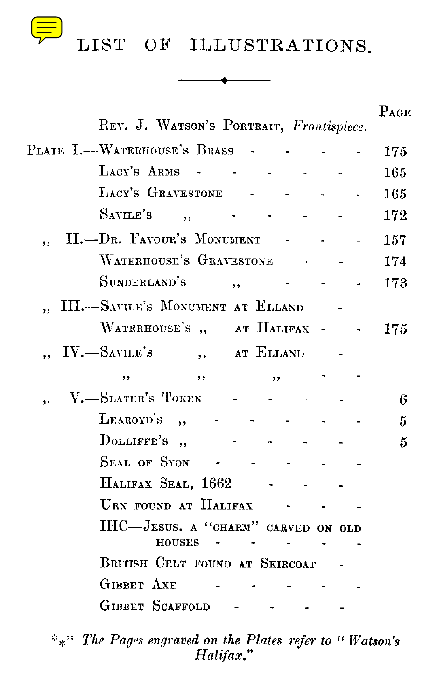

4

| REV. J. WATSON'S PORTRAIT, Frontispiece.            | $P_{AGE}$ |
|-----------------------------------------------------|-----------|
| PLATE I.-WATERHOUSE'S BRASS                         | 175       |
| LACY'S ARMS - -                                     | 165       |
| LACY'S GRAVESTONE -                                 | 165       |
| SAVILE'S<br>$, \,$                                  | 172       |
| II.-Dr. Favour's Monument<br>٠,                     | 157       |
| WATERHOUSE'S GRAVESTONE                             | 174       |
| SUNDERLAND'S<br>,                                   | 173       |
| III.-SAVILE'S MONUMENT AT ELLAND                    |           |
| WATERHOUSE'S, AT HALIFAX -                          | 175.      |
| $IV. - S$ avile's<br>,, at ELLAND                   |           |
| ,,<br>,,<br>,,                                      |           |
| V.-SLATER'S TOKEN<br>,,                             | 6         |
| LEAROYD'S,                                          | 5         |
| DOLLIFFE'S,                                         | 5         |
| Seal of Syon                                        |           |
| HALIFAX SEAL, 1662                                  |           |
| URN FOUND AT HALIFAX                                |           |
| IHC-JESUS. A "CHARM" CARVED ON OLD<br><b>HOUSES</b> |           |
| BRITISH CELT FOUND AT SKIRCOAT                      |           |
| <b>GIBBET AXE</b>                                   |           |
| GIBBET SCAFFOLD                                     |           |
|                                                     |           |

*\*\*\* The Pages engraved on the Plates refer to " Watson's Halifax.* "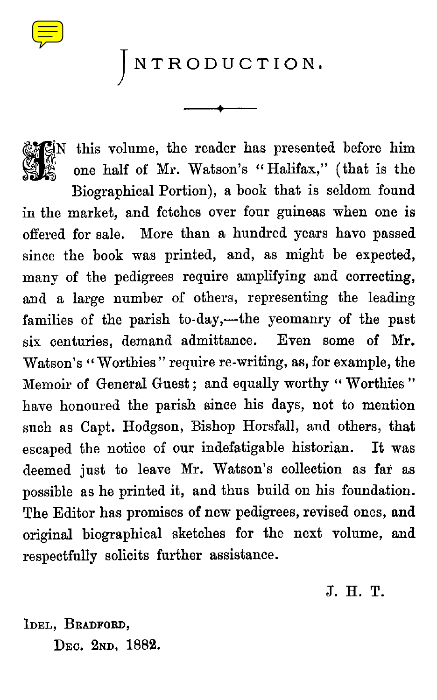INTRODUCTION .

 $N$  this volume, the reader has presented before him one half of Mr. Watson's "Halifax," (that is the

Biographical Portion), a book that is seldom found in the market, and fetches over four guineas when one is offered for sale. More than a hundred years have passed since the book was printed, and, as might be expected, many of the pedigrees require amplifying and correcting, and a large number of others, representing the leading families of the parish to-day,—the yeomanry of the past six centuries, demand admittance. Even some of Mr. Watson's " Worthies" require re-writing, as, for example, the Memoir of General Guest; and equally worthy "Worthies" have honoured the parish since his days, not to mention such as Capt. Hodgson, Bishop Horsfall, and others, that escaped the notice of our indefatigable historian. It was deemed just to leave Mr. Watson's collection as far as possible as he printed it, and thus build on his foundation. The Editor has promises of new pedigrees, revised ones, and original biographical sketches for the next volume, and respectfully solicits further assistance .

J. H . T.

IDEL, BRADFORD, DEc. 2ND, 1882.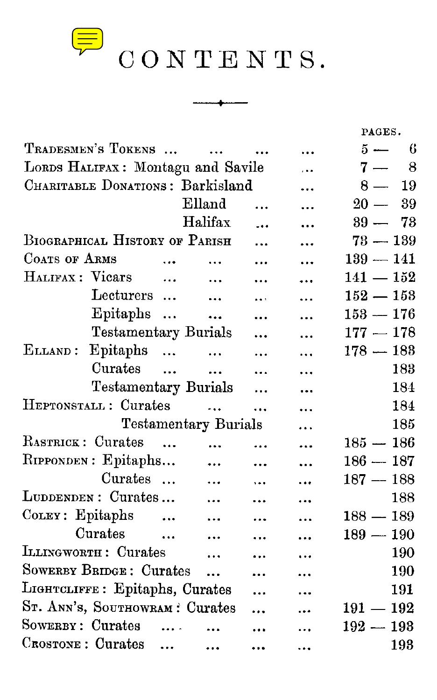

 $\overline{\mathbb{P}}$  CONTENTS.

-----<del>1</del>------

|                                   |               |                      |                      |           | PAGES.       |
|-----------------------------------|---------------|----------------------|----------------------|-----------|--------------|
| TRADESMEN'S TOKENS                |               | $\dddotsc$           |                      |           | 6<br>$5 -$   |
| LORDS HALIFAX: Montagu and Savile |               | .                    | 8<br>$7 -$           |           |              |
| CHARITABLE DONATIONS: Barkisland  |               |                      |                      |           | $8 -$<br>19  |
|                                   | Elland        |                      |                      |           | $20 -$<br>39 |
|                                   |               | Halifax              |                      |           | $39 -$<br>73 |
| BIOGRAPHICAL HISTORY OF PARISH    |               |                      | $73-139$             |           |              |
| COATS OF ARMS                     | $\ddotsc$     |                      |                      |           | $139-141$    |
| HALIFAX : Vicars                  | $\cdots$      | $\dddotsc$           |                      |           | $141-152$    |
| Lecturers                         |               | $\ddotsc$            | $\ddot{\phantom{a}}$ |           | $152-153$    |
| Epitaphs                          |               | $\ddotsc$            |                      |           | $153 - 176$  |
| <b>Testamentary Burials</b>       |               |                      |                      | .         | $177-178$    |
| Epitaphs<br>ELLAND:               |               | $\cdots$             |                      |           | $178-183$    |
| Curates                           |               | $\ddotsc$            |                      |           | 183          |
| Testamentary Burials              |               |                      | .                    |           | 184          |
| HEPTONSTALL: Curates              |               | $\ddot{\phantom{0}}$ |                      |           | 184          |
| <b>Testamentary Burials</b>       |               |                      |                      | .         | 185          |
| RASTRICK: Curates                 | $\sim$ $\sim$ | $\ddot{\phantom{a}}$ |                      |           | $185-186$    |
| RIPPONDEN: Epitaphs               |               | $\ddotsc$            |                      | .         | $186-187$    |
| Curates                           |               | $\ddotsc$            | $\ddotsc$            |           | $187-188$    |
| LUDDENDEN: Curates                |               | $\ddotsc$            |                      |           | 188          |
| COLEY: Epitaphs<br>$\sim$ $\sim$  |               | $\ddotsc$            |                      |           | $188-189$    |
| Curates<br>$\sim$                 |               | $\ddotsc$            |                      |           | $189-190$    |
| LLINGWORTH: Curates               |               | $\dddotsc$           |                      | $\ddotsc$ | 190          |
| <b>SOWERBY BRIDGE: Curates</b>    |               | $\ddotsc$            | $\ddotsc$            |           | 190          |
| LIGHTCLIFFE: Epitaphs, Curates    |               |                      |                      | .         | 191          |
| ST. ANN'S, SOUTHOWRAM : Curates   |               |                      |                      |           | $191 - 192$  |
| SOWERBY: Curates                  | $\ldots$      |                      |                      |           | $192 - 193$  |
| CROSTONE : Curates                | $\cdots$      | $\ddotsc$            | $\ddotsc$            | $\ddotsc$ | 193          |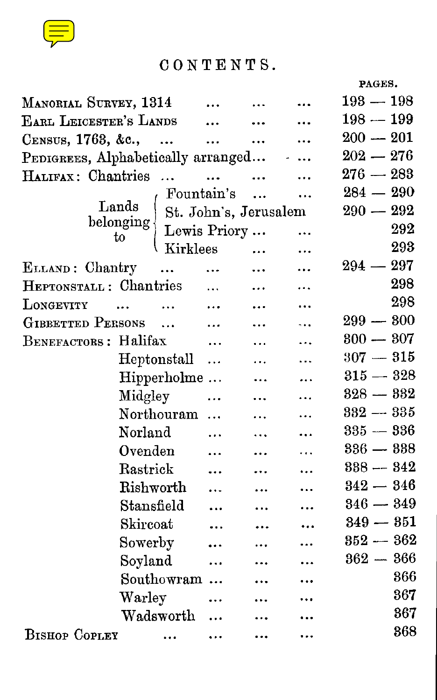

## CONTENTS .

**PAGES.**

| MANORIAL SURVEY, 1314              |                                                                      |            |           | $193 - 198$   |
|------------------------------------|----------------------------------------------------------------------|------------|-----------|---------------|
| EARL LEICESTER'S LANDS             |                                                                      | $\cdots$   | $\cdots$  | $198 - 199$   |
| CENSUS, 1763, &c.,                 | $\sim$ $\sim$                                                        | $\cdots$   | $\cdots$  | $200 - 201$   |
| PEDIGREES, Alphabetically arranged |                                                                      |            |           | $202 - 276$   |
| HALIFAX: Chantries                 |                                                                      | $\ddotsc$  | $\ddotsc$ | $276 - 283$   |
|                                    |                                                                      | Fountain's | $\ddotsc$ | $284 - 290$   |
|                                    | $\rm{Lands}$                                                         |            |           | $290 - 292$   |
|                                    |                                                                      |            |           | 292           |
|                                    | Lands St. John's, Jerusalem<br>belonging Lewis Priory<br>to Kirklees |            |           | 293           |
| ELLAND: Chantry                    | $\sim$ $\sim$ $\sim$                                                 | $\ddotsc$  | $\ddotsc$ | 297<br>$294-$ |
| HEPTONSTALL: Chantries             |                                                                      |            |           | 298           |
| LONGEVITY                          | $\ddotsc$<br>$\ddotsc$                                               | $\cdots$   |           | 298           |
| GIBBETTED PERSONS                  |                                                                      | $\dddotsc$ |           | $299 - 300$   |
| BENEFACTORS: Halifax               |                                                                      | $\cdots$   | .         | $300 - 307$   |
|                                    | Heptonstall                                                          | $\ldots$   | .         | $307 - 315$   |
|                                    | Hipperholme                                                          |            |           | $315-328$     |
|                                    | Midgley                                                              | $\cdots$   |           | $328 - 332$   |
|                                    | Northouram                                                           |            |           | $332 - 335$   |
|                                    | Norland                                                              | .          |           | $335 - 336$   |
|                                    | Ovenden                                                              |            |           | $336 - 338$   |
|                                    | Rastrick                                                             |            |           | $338 - 342$   |
|                                    | ${\rm Riskworth}$                                                    |            |           | $342 - 346$   |
|                                    | Stansfield                                                           |            |           | $346 - 349$   |
|                                    | Skircoat                                                             |            |           | $349 - 351$   |
|                                    | Sowerby                                                              |            |           | $352 - 362$   |
|                                    | Soyland                                                              | $\ddotsc$  |           | $362 - 366$   |
|                                    | Southowram                                                           |            |           | 366           |
|                                    | Warley                                                               |            |           | 367           |
|                                    | Wadsworth                                                            |            |           | 367           |
| <b>BISHOP COPLEY</b>               | $\sim$ $\sim$ $\sim$                                                 | $\ddotsc$  |           | 368           |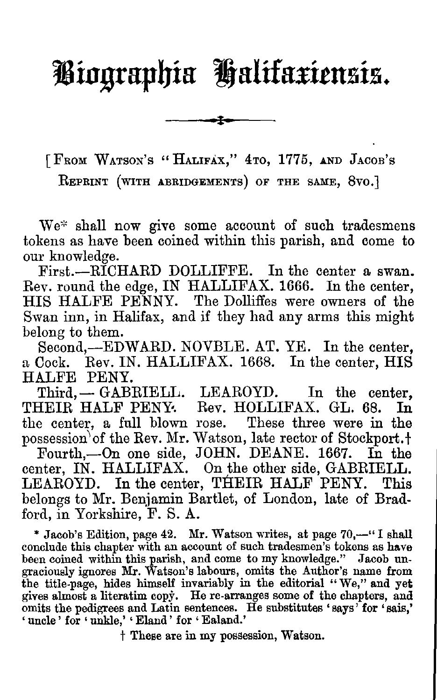# **Biographia Halifaxiensis .**

[FROM WATSON'S "HALIFAX," 4TO, 1775, AND JACOB'S

REPRINT (WITH ABRIDGEMENTS) OF THE SAME, 8vo.]

We\* shall now give some account of such tradesmens tokens as have been coined within this parish, and come to our knowledge.

First.—RICHARD DOLLIFFE. In the center a swan. Rev. round the edge, IN HALLIFAX. 1666. In the center, HIS HALFE PENNY. The Dolliffes were owners of the Swan inn, in Halifax, and if they had any arms this might belong to them.

Second,-EDWARD. NOVBLE. AT. YE. In the center, a Cock. Rev. IN. HALLIFAX. 1668. In the center, HIS HALFE PENY.

Third, - GABRIELL. LEAROYD. In the center,<br>
HEIR HALF PENY. Rev. HOLLIFAX. GL. 68. In THEIR HALF PENY. Rev. HOLLIFAX. GL. 68. the center, a full blown rose. These three were in the possession of the Rev. Mr. Watson, late rector of Stockport.<sup>†</sup>

Fourth,—On one side, JOHN . DEANE. 1667. In the center, IN. HALLIFAX. On the other side, GABRIELL. LEAROYD. In the center, THEIR HALF PENY. This belongs to Mr. Benjamin Bartlet, of London, late of Bradford, in Yorkshire, F. S. A.

\* Jacob's Edition, page 42. Mr. Watson writes, at page 70,-" I shall conclude this chapter with an account of such tradesmen's tokens as have been coined within this parish, and come to my knowledge." Jacob ungraciously ignores Mr. Watson's labours, omits the Author's name from the title-page, hides himself invariably in the editorial "We," and yet gives almost a literatim copy . He re-arranges some of the chapters, and omits the pedigrees and Latin sentences. He substitutes `says ' for `sais,' ' uncle' for ' unkle,' ' Eland' for ' Ealand.'

t These are in my possession, Watson .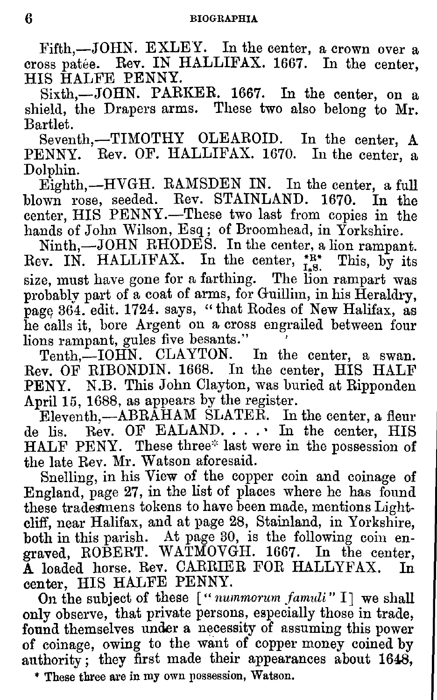Fifth,-JOHN. EXLEY. In the center, a crown over a cross patée. Rev. IN HALLIFAX. 1667. In the center, HIS HALFE PENNY.

Sixth,-JOHN. PARKER. 1667. In the center, on shield, the Drapers arms. These two also belong to Mr. Bartlet.

Seventh,-TIMOTHY OLEAROID. In the center, A PENNY. Rev. OF. HALLIFAX. 1670. In the center, a Dolphin.

Eighth,—HVGH. RAMSDEN IN. In the center, a full blown rose, seeded . Rev. STAINLAND. 1670. In the center, HIS PENNY .—These two last from copies in the hands of John Wilson, Esq; of Broomhead, in Yorkshire.

Ninth,—JOHN RHODES. In the center, a lion rampant.<br>Rev. IN. HALLIFAX. In the center,  $_{1.8}^{+R*}$  This, by its size, must have gone for a farthing. The lion rampart was probably part of a coat of arms, for Guillim, in his Heraldry, page 364. edit. 1724. says, "that Rodes of New Halifax, as he calls it, bore Argent on a cross engrailed between four lions rampant, gules five besants."

Tenth.—IOHN. CLAYTON. In the center, a swan. Rev. OF RIBONDIN. 1668. In the center, HIS HALF PENY. N.B. This John Clayton, was buried at Ripponden April 15, 1688, as appears by the register.

Eleventh,—ABRAHAM SLATER. In the center, a fleur de lis. Rev. OF EALAND. . . . In the center, HIS HALF PENY. These three\* last were in the possession of the late Rev. Mr. Watson aforesaid.

Snelling, in his View of the copper coin and coinage of England, page 27, in the list of places where he has found these tradesmens tokens to have been made, mentions Lightcliff, near Halifax, and at page 28, Stainland, in Yorkshire, both in this parish. At page 30, is the following coin engraved, ROBERT. WATMOVGH. 1667. In the center, A loaded horse . Rev. CARRIER FOR HALLYFAX. In center, HIS HALFE PENNY.

On the subject of these [" *nummorum famuli"* I] we shall only observe, that private persons, especially those in trade, found themselves under a necessity of assuming this power of coinage, owing to the want of copper money coined by authority; they first made their appearances about 1648,

These three are in my own possession, Watson.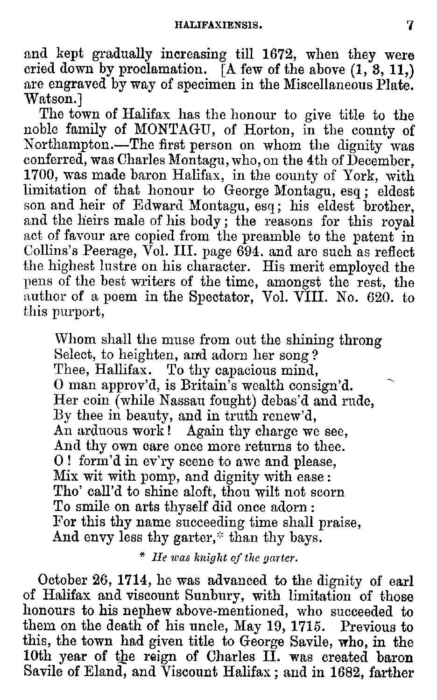and kept gradually increasing till 1672, when they were cried down by proclamation. **[A** few of the above (1, **8, 11,)** are engraved by way of specimen in the Miscellaneous Plate.<br>Watson.]

The town of Halifax has the honour to give title to the noble family of MONTAGU, of Horton, in the county of Northampton .—The first person on whom the dignity was conferred, was Charles Montagu, who, on the 4th of December, 1700, was made baron Halifax, in the county of York, with limitation of that honour to George Montagu, esq ; eldest son and heir of Edward Montagu, esq ; his eldest brother, and the heirs male of his body ; the reasons for this royal act of favour are copied from the preamble to the patent in Collins's Peerage, Vol. III. page 694. and are such as reflect the highest lustre on his character. His merit employed the pens of the best writers of the time, amongst the rest, the author of a poem in the Spectator, Vol . VIII. No. 620. to this purport,

Whom shall the muse from out the shining throng Select, to heighten, and adorn her song? Thee, Hallifax. To thy capacious mind, 0 man approv'd, is Britain's wealth consign'd. Her coin (while Nassau fought) debas'd and rude, By thee in beauty, and in truth renew'd, An arduous work ! Again thy charge we see, And thy own care once more returns to thee. 0 ! form'd in ev'ry scene to awe and please, Mix wit with pomp, and dignity with ease: Tho' call'd to shine aloft, thou wilt not scorn To smile on arts thyself did once adorn: For this thy name succeeding time shall praise, And envy less thy garter,\* than thy bays.

*\* He was knight of the garter .*

October 26, 1714, he was advanced to the dignity of earl of Halifax and viscount Sunbury, with limitation of those honours to his nephew above-mentioned, who succeeded to them on the death of his uncle, May 19, 1715. Previous to this, the town had given title to George Savile, who, in the 10th year of the reign of Charles II. was created baron Savile of Eland, and Viscount Halifax ; and in 1682, farther